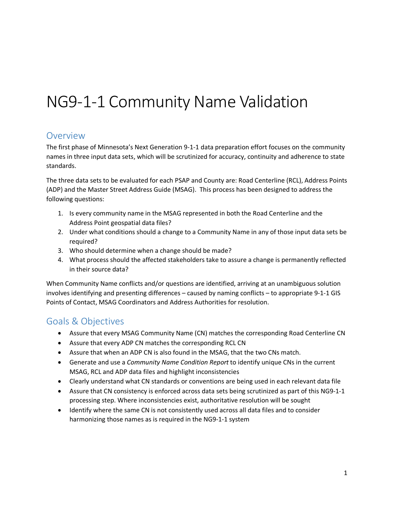# NG9-1-1 Community Name Validation

# Overview

The first phase of Minnesota's Next Generation 9-1-1 data preparation effort focuses on the community names in three input data sets, which will be scrutinized for accuracy, continuity and adherence to state standards.

The three data sets to be evaluated for each PSAP and County are: Road Centerline (RCL), Address Points (ADP) and the Master Street Address Guide (MSAG). This process has been designed to address the following questions:

- 1. Is every community name in the MSAG represented in both the Road Centerline and the Address Point geospatial data files?
- 2. Under what conditions should a change to a Community Name in any of those input data sets be required?
- 3. Who should determine when a change should be made?
- 4. What process should the affected stakeholders take to assure a change is permanently reflected in their source data?

When Community Name conflicts and/or questions are identified, arriving at an unambiguous solution involves identifying and presenting differences – caused by naming conflicts – to appropriate 9-1-1 GIS Points of Contact, MSAG Coordinators and Address Authorities for resolution.

# Goals & Objectives

- Assure that every MSAG Community Name (CN) matches the corresponding Road Centerline CN
- Assure that every ADP CN matches the corresponding RCL CN
- Assure that when an ADP CN is also found in the MSAG, that the two CNs match.
- Generate and use a *Community Name Condition Report* to identify unique CNs in the current MSAG, RCL and ADP data files and highlight inconsistencies
- Clearly understand what CN standards or conventions are being used in each relevant data file
- Assure that CN consistency is enforced across data sets being scrutinized as part of this NG9-1-1 processing step. Where inconsistencies exist, authoritative resolution will be sought
- Identify where the same CN is not consistently used across all data files and to consider harmonizing those names as is required in the NG9-1-1 system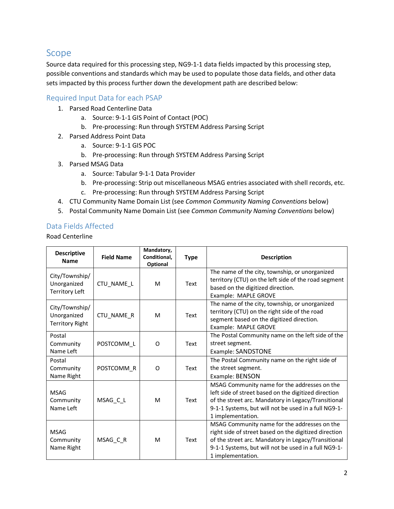# Scope

Source data required for this processing step, NG9-1-1 data fields impacted by this processing step, possible conventions and standards which may be used to populate those data fields, and other data sets impacted by this process further down the development path are described below:

#### Required Input Data for each PSAP

- 1. Parsed Road Centerline Data
	- a. Source: 9-1-1 GIS Point of Contact (POC)
	- b. Pre-processing: Run through SYSTEM Address Parsing Script
- 2. Parsed Address Point Data
	- a. Source: 9-1-1 GIS POC
	- b. Pre-processing: Run through SYSTEM Address Parsing Script
- 3. Parsed MSAG Data
	- a. Source: Tabular 9-1-1 Data Provider
	- b. Pre-processing: Strip out miscellaneous MSAG entries associated with shell records, etc.
	- c. Pre-processing: Run through SYSTEM Address Parsing Script
- 4. CTU Community Name Domain List (see *Common Community Naming Conventions* below)
- 5. Postal Community Name Domain List (see *Common Community Naming Conventions* below)

#### Data Fields Affected

Road Centerline

| <b>Descriptive</b><br><b>Name</b>                       | <b>Field Name</b> | Mandatory,<br>Conditional,<br>Optional | <b>Type</b> | <b>Description</b>                                                                                                                                                                                                                        |
|---------------------------------------------------------|-------------------|----------------------------------------|-------------|-------------------------------------------------------------------------------------------------------------------------------------------------------------------------------------------------------------------------------------------|
| City/Township/<br>Unorganized<br><b>Territory Left</b>  | CTU_NAME_L        | M                                      | Text        | The name of the city, township, or unorganized<br>territory (CTU) on the left side of the road segment<br>based on the digitized direction.<br>Example: MAPLE GROVE                                                                       |
| City/Township/<br>Unorganized<br><b>Territory Right</b> | CTU_NAME_R        | M                                      | Text        | The name of the city, township, or unorganized<br>territory (CTU) on the right side of the road<br>segment based on the digitized direction.<br>Example: MAPLE GROVE                                                                      |
| Postal<br>Community<br>Name Left                        | POSTCOMM L        | O                                      | Text        | The Postal Community name on the left side of the<br>street segment.<br>Example: SANDSTONE                                                                                                                                                |
| Postal<br>Community<br>Name Right                       | POSTCOMM R        | O                                      | Text        | The Postal Community name on the right side of<br>the street segment.<br>Example: BENSON                                                                                                                                                  |
| <b>MSAG</b><br>Community<br>Name Left                   | MSAG_C_L          | M                                      | Text        | MSAG Community name for the addresses on the<br>left side of street based on the digitized direction<br>of the street arc. Mandatory in Legacy/Transitional<br>9-1-1 Systems, but will not be used in a full NG9-1-<br>1 implementation.  |
| <b>MSAG</b><br>Community<br>Name Right                  | MSAG_C_R          | M                                      | Text        | MSAG Community name for the addresses on the<br>right side of street based on the digitized direction<br>of the street arc. Mandatory in Legacy/Transitional<br>9-1-1 Systems, but will not be used in a full NG9-1-<br>1 implementation. |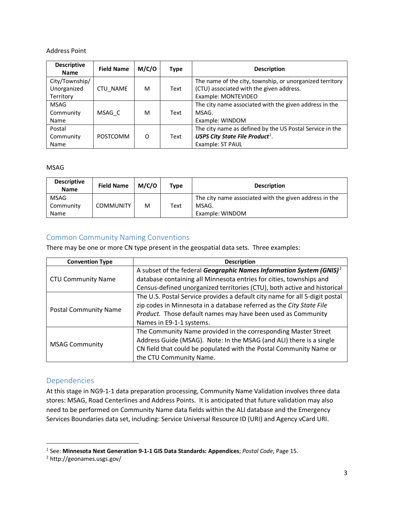#### Address Point

| <b>Descriptive</b><br><b>Name</b>          | <b>Field Name</b> | M/C/O | <b>Type</b> | <b>Description</b>                                                                                                          |
|--------------------------------------------|-------------------|-------|-------------|-----------------------------------------------------------------------------------------------------------------------------|
| City/Township/<br>Unorganized<br>Territory | <b>CTU NAME</b>   | M     | Text        | The name of the city, township, or unorganized territory<br>(CTU) associated with the given address.<br>Example: MONTEVIDEO |
| <b>MSAG</b><br>Community<br>Name           | MSAG C            | M     | Text        | The city name associated with the given address in the<br>MSAG.<br>Example: WINDOM                                          |
| Postal<br>Community<br>Name                | <b>POSTCOMM</b>   | O     | Text        | The city name as defined by the US Postal Service in the<br>USPS City State File Product <sup>1</sup> .<br>Example: ST PAUL |

#### MSAG

| <b>Descriptive</b><br><b>Name</b> | <b>Field Name</b> | M/C/O | Type | <b>Description</b>                                     |
|-----------------------------------|-------------------|-------|------|--------------------------------------------------------|
| MSAG                              |                   |       |      | The city name associated with the given address in the |
| Community                         | <b>COMMUNITY</b>  | м     | Text | MSAG.                                                  |
| Name                              |                   |       |      | Example: WINDOM                                        |

#### Common Community Naming Conventions

There may be one or more CN type present in the geospatial data sets. Three examples:

| <b>Convention Type</b>       | <b>Description</b>                                                              |
|------------------------------|---------------------------------------------------------------------------------|
|                              | A subset of the federal Geographic Names Information System (GNIS) <sup>2</sup> |
| <b>CTU Community Name</b>    | database containing all Minnesota entries for cities, townships and             |
|                              | Census-defined unorganized territories (CTU), both active and historical        |
|                              | The U.S. Postal Service provides a default city name for all 5-digit postal     |
|                              | zip codes in Minnesota in a database referred as the City State File            |
| <b>Postal Community Name</b> | Product. Those default names may have been used as Community                    |
|                              | Names in E9-1-1 systems.                                                        |
|                              | The Community Name provided in the corresponding Master Street                  |
| <b>MSAG Community</b>        | Address Guide (MSAG). Note: In the MSAG (and ALI) there is a single             |
|                              | CN field that could be populated with the Postal Community Name or              |
|                              | the CTU Community Name.                                                         |

#### Dependencies

At this stage in NG9-1-1 data preparation processing, Community Name Validation involves three data stores: MSAG, Road Centerlines and Address Points. It is anticipated that future validation may also need to be performed on Community Name data fields within the ALI database and the Emergency Services Boundaries data set, including: Service Universal Resource ID (URI) and Agency vCard URI.

<span id="page-2-0"></span> <sup>1</sup> See: **Minnesota Next Generation 9-1-1 GIS Data Standards: Appendices**; *Postal Code*, Page 15.

<span id="page-2-1"></span><sup>2</sup> http://geonames.usgs.gov/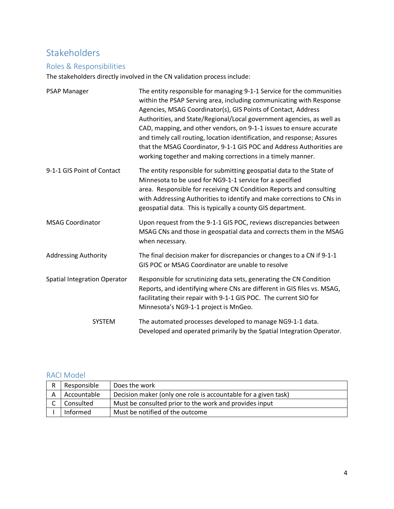# Stakeholders

## Roles & Responsibilities

The stakeholders directly involved in the CN validation process include:

| <b>PSAP Manager</b>                 | The entity responsible for managing 9-1-1 Service for the communities<br>within the PSAP Serving area, including communicating with Response<br>Agencies, MSAG Coordinator(s), GIS Points of Contact, Address<br>Authorities, and State/Regional/Local government agencies, as well as<br>CAD, mapping, and other vendors, on 9-1-1 issues to ensure accurate<br>and timely call routing, location identification, and response; Assures<br>that the MSAG Coordinator, 9-1-1 GIS POC and Address Authorities are<br>working together and making corrections in a timely manner. |
|-------------------------------------|---------------------------------------------------------------------------------------------------------------------------------------------------------------------------------------------------------------------------------------------------------------------------------------------------------------------------------------------------------------------------------------------------------------------------------------------------------------------------------------------------------------------------------------------------------------------------------|
| 9-1-1 GIS Point of Contact          | The entity responsible for submitting geospatial data to the State of<br>Minnesota to be used for NG9-1-1 service for a specified<br>area. Responsible for receiving CN Condition Reports and consulting<br>with Addressing Authorities to identify and make corrections to CNs in<br>geospatial data. This is typically a county GIS department.                                                                                                                                                                                                                               |
| <b>MSAG Coordinator</b>             | Upon request from the 9-1-1 GIS POC, reviews discrepancies between<br>MSAG CNs and those in geospatial data and corrects them in the MSAG<br>when necessary.                                                                                                                                                                                                                                                                                                                                                                                                                    |
| <b>Addressing Authority</b>         | The final decision maker for discrepancies or changes to a CN if 9-1-1<br>GIS POC or MSAG Coordinator are unable to resolve                                                                                                                                                                                                                                                                                                                                                                                                                                                     |
| <b>Spatial Integration Operator</b> | Responsible for scrutinizing data sets, generating the CN Condition<br>Reports, and identifying where CNs are different in GIS files vs. MSAG,<br>facilitating their repair with 9-1-1 GIS POC. The current SIO for<br>Minnesota's NG9-1-1 project is MnGeo.                                                                                                                                                                                                                                                                                                                    |
| SYSTEM                              | The automated processes developed to manage NG9-1-1 data.<br>Developed and operated primarily by the Spatial Integration Operator.                                                                                                                                                                                                                                                                                                                                                                                                                                              |

## RACI Model

| R | Responsible | Does the work                                                  |
|---|-------------|----------------------------------------------------------------|
|   | Accountable | Decision maker (only one role is accountable for a given task) |
|   | Consulted   | Must be consulted prior to the work and provides input         |
|   | Informed    | Must be notified of the outcome                                |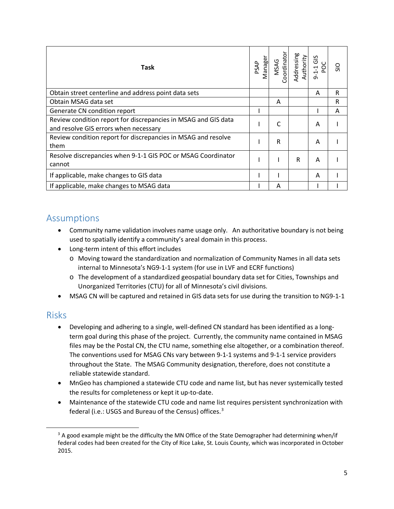| Task                                                                                                    | PSAP | Manager<br>MSAG<br>Cordinator | Addressing<br>Authority | 9-1-1 GIS<br>POC | $\frac{5}{5}$ |
|---------------------------------------------------------------------------------------------------------|------|-------------------------------|-------------------------|------------------|---------------|
| Obtain street centerline and address point data sets                                                    |      |                               |                         | A                | R             |
| Obtain MSAG data set                                                                                    |      | A                             |                         |                  | R             |
| Generate CN condition report                                                                            |      |                               |                         |                  | A             |
| Review condition report for discrepancies in MSAG and GIS data<br>and resolve GIS errors when necessary |      | C                             |                         | A                |               |
| Review condition report for discrepancies in MSAG and resolve<br>them                                   |      | R                             |                         | A                |               |
| Resolve discrepancies when 9-1-1 GIS POC or MSAG Coordinator<br>cannot                                  |      |                               | R                       | A                |               |
| If applicable, make changes to GIS data                                                                 |      |                               |                         | A                |               |
| If applicable, make changes to MSAG data                                                                |      | A                             |                         |                  |               |

# Assumptions

- Community name validation involves name usage only. An authoritative boundary is not being used to spatially identify a community's areal domain in this process.
- Long-term intent of this effort includes
	- o Moving toward the standardization and normalization of Community Names in all data sets internal to Minnesota's NG9-1-1 system (for use in LVF and ECRF functions)
	- o The development of a standardized geospatial boundary data set for Cities, Townships and Unorganized Territories (CTU) for all of Minnesota's civil divisions.
- MSAG CN will be captured and retained in GIS data sets for use during the transition to NG9-1-1

## Risks

- Developing and adhering to a single, well-defined CN standard has been identified as a longterm goal during this phase of the project. Currently, the community name contained in MSAG files may be the Postal CN, the CTU name, something else altogether, or a combination thereof. The conventions used for MSAG CNs vary between 9-1-1 systems and 9-1-1 service providers throughout the State. The MSAG Community designation, therefore, does not constitute a reliable statewide standard.
- MnGeo has championed a statewide CTU code and name list, but has never systemically tested the results for completeness or kept it up-to-date.
- Maintenance of the statewide CTU code and name list requires persistent synchronization with federal (i.e.: USGS and Bureau of the Census) offices.<sup>[3](#page-4-0)</sup>

<span id="page-4-0"></span> $3$  A good example might be the difficulty the MN Office of the State Demographer had determining when/if federal codes had been created for the City of Rice Lake, St. Louis County, which was incorporated in October 2015.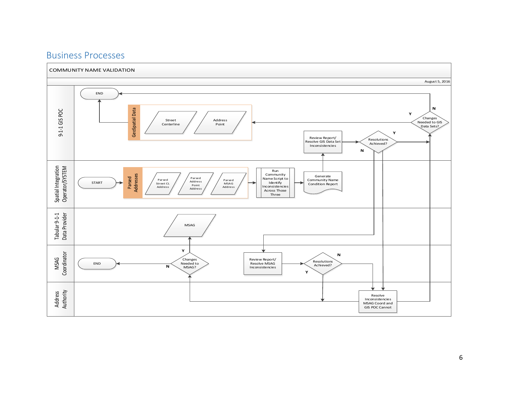

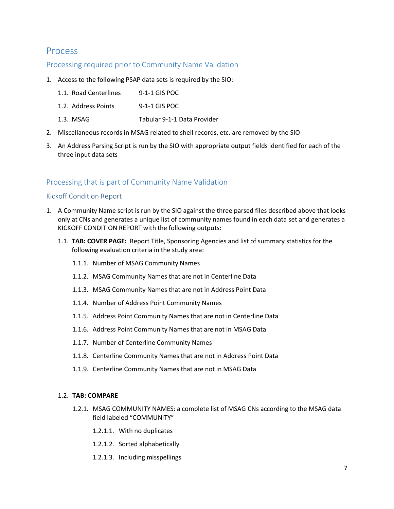## Process

#### Processing required prior to Community Name Validation

- 1. Access to the following PSAP data sets is required by the SIO:
	- 1.1. Road Centerlines 9-1-1 GIS POC
	- 1.2. Address Points 9-1-1 GIS POC
	- 1.3. MSAG Tabular 9-1-1 Data Provider
- 2. Miscellaneous records in MSAG related to shell records, etc. are removed by the SIO
- 3. An Address Parsing Script is run by the SIO with appropriate output fields identified for each of the three input data sets

#### Processing that is part of Community Name Validation

#### Kickoff Condition Report

- 1. A Community Name script is run by the SIO against the three parsed files described above that looks only at CNs and generates a unique list of community names found in each data set and generates a KICKOFF CONDITION REPORT with the following outputs:
	- 1.1. **TAB: COVER PAGE:** Report Title, Sponsoring Agencies and list of summary statistics for the following evaluation criteria in the study area:
		- 1.1.1. Number of MSAG Community Names
		- 1.1.2. MSAG Community Names that are not in Centerline Data
		- 1.1.3. MSAG Community Names that are not in Address Point Data
		- 1.1.4. Number of Address Point Community Names
		- 1.1.5. Address Point Community Names that are not in Centerline Data
		- 1.1.6. Address Point Community Names that are not in MSAG Data
		- 1.1.7. Number of Centerline Community Names
		- 1.1.8. Centerline Community Names that are not in Address Point Data
		- 1.1.9. Centerline Community Names that are not in MSAG Data

#### 1.2. **TAB: COMPARE**

- 1.2.1. MSAG COMMUNITY NAMES: a complete list of MSAG CNs according to the MSAG data field labeled "COMMUNITY"
	- 1.2.1.1. With no duplicates
	- 1.2.1.2. Sorted alphabetically
	- 1.2.1.3. Including misspellings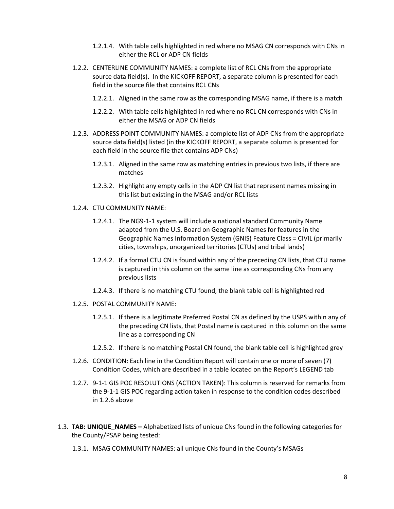- 1.2.1.4. With table cells highlighted in red where no MSAG CN corresponds with CNs in either the RCL or ADP CN fields
- 1.2.2. CENTERLINE COMMUNITY NAMES: a complete list of RCL CNs from the appropriate source data field(s). In the KICKOFF REPORT, a separate column is presented for each field in the source file that contains RCL CNs
	- 1.2.2.1. Aligned in the same row as the corresponding MSAG name, if there is a match
	- 1.2.2.2. With table cells highlighted in red where no RCL CN corresponds with CNs in either the MSAG or ADP CN fields
- 1.2.3. ADDRESS POINT COMMUNITY NAMES: a complete list of ADP CNs from the appropriate source data field(s) listed (in the KICKOFF REPORT, a separate column is presented for each field in the source file that contains ADP CNs)
	- 1.2.3.1. Aligned in the same row as matching entries in previous two lists, if there are matches
	- 1.2.3.2. Highlight any empty cells in the ADP CN list that represent names missing in this list but existing in the MSAG and/or RCL lists
- 1.2.4. CTU COMMUNITY NAME:
	- 1.2.4.1. The NG9-1-1 system will include a national standard Community Name adapted from the U.S. Board on Geographic Names for features in the Geographic Names Information System (GNIS) Feature Class = CIVIL (primarily cities, townships, unorganized territories (CTUs) and tribal lands)
	- 1.2.4.2. If a formal CTU CN is found within any of the preceding CN lists, that CTU name is captured in this column on the same line as corresponding CNs from any previous lists
	- 1.2.4.3. If there is no matching CTU found, the blank table cell is highlighted red
- 1.2.5. POSTAL COMMUNITY NAME:
	- 1.2.5.1. If there is a legitimate Preferred Postal CN as defined by the USPS within any of the preceding CN lists, that Postal name is captured in this column on the same line as a corresponding CN
	- 1.2.5.2. If there is no matching Postal CN found, the blank table cell is highlighted grey
- 1.2.6. CONDITION: Each line in the Condition Report will contain one or more of seven (7) Condition Codes, which are described in a table located on the Report's LEGEND tab
- 1.2.7. 9-1-1 GIS POC RESOLUTIONS (ACTION TAKEN): This column is reserved for remarks from the 9-1-1 GIS POC regarding action taken in response to the condition codes described in 1.2.6 above
- 1.3. **TAB: UNIQUE\_NAMES –** Alphabetized lists of unique CNs found in the following categories for the County/PSAP being tested:
	- 1.3.1. MSAG COMMUNITY NAMES: all unique CNs found in the County's MSAGs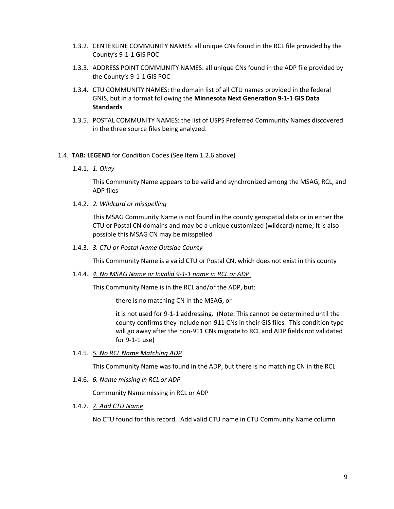- 1.3.2. CENTERLINE COMMUNITY NAMES: all unique CNs found in the RCL file provided by the County's 9-1-1 GIS POC
- 1.3.3. ADDRESS POINT COMMUNITY NAMES: all unique CNs found in the ADP file provided by the County's 9-1-1 GIS POC
- 1.3.4. CTU COMMUNITY NAMES: the domain list of all CTU names provided in the federal GNIS, but in a format following the **Minnesota Next Generation 9-1-1 GIS Data Standards**
- 1.3.5. POSTAL COMMUNITY NAMES: the list of USPS Preferred Community Names discovered in the three source files being analyzed.

#### 1.4. **TAB: LEGEND** for Condition Codes (See Item 1.2.6 above)

1.4.1. *1. Okay* 

This Community Name appears to be valid and synchronized among the MSAG, RCL, and ADP files

1.4.2. *2. Wildcard or misspelling*

This MSAG Community Name is not found in the county geospatial data or in either the CTU or Postal CN domains and may be a unique customized (wildcard) name; It is also possible this MSAG CN may be misspelled

1.4.3. *3. CTU or Postal Name Outside County*

This Community Name is a valid CTU or Postal CN, which does not exist in this county

1.4.4. *4. No MSAG Name or Invalid 9-1-1 name in RCL or ADP* 

This Community Name is in the RCL and/or the ADP, but:

there is no matching CN in the MSAG, or

it is not used for 9-1-1 addressing. (Note: This cannot be determined until the county confirms they include non-911 CNs in their GIS files. This condition type will go away after the non-911 CNs migrate to RCL and ADP fields not validated for 9-1-1 use)

1.4.5. *5. No RCL Name Matching ADP*

This Community Name was found in the ADP, but there is no matching CN in the RCL

1.4.6. *6. Name missing in RCL or ADP*

Community Name missing in RCL or ADP

1.4.7. *7. Add CTU Name*

No CTU found for this record. Add valid CTU name in CTU Community Name column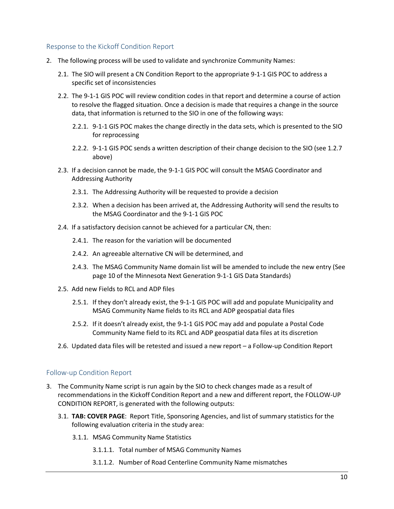#### Response to the Kickoff Condition Report

- 2. The following process will be used to validate and synchronize Community Names:
	- 2.1. The SIO will present a CN Condition Report to the appropriate 9-1-1 GIS POC to address a specific set of inconsistencies
	- 2.2. The 9-1-1 GIS POC will review condition codes in that report and determine a course of action to resolve the flagged situation. Once a decision is made that requires a change in the source data, that information is returned to the SIO in one of the following ways:
		- 2.2.1. 9-1-1 GIS POC makes the change directly in the data sets, which is presented to the SIO for reprocessing
		- 2.2.2. 9-1-1 GIS POC sends a written description of their change decision to the SIO (see 1.2.7 above)
	- 2.3. If a decision cannot be made, the 9-1-1 GIS POC will consult the MSAG Coordinator and Addressing Authority
		- 2.3.1. The Addressing Authority will be requested to provide a decision
		- 2.3.2. When a decision has been arrived at, the Addressing Authority will send the results to the MSAG Coordinator and the 9-1-1 GIS POC
	- 2.4. If a satisfactory decision cannot be achieved for a particular CN, then:
		- 2.4.1. The reason for the variation will be documented
		- 2.4.2. An agreeable alternative CN will be determined, and
		- 2.4.3. The MSAG Community Name domain list will be amended to include the new entry (See page 10 of the Minnesota Next Generation 9-1-1 GIS Data Standards)
	- 2.5. Add new Fields to RCL and ADP files
		- 2.5.1. If they don't already exist, the 9-1-1 GIS POC will add and populate Municipality and MSAG Community Name fields to its RCL and ADP geospatial data files
		- 2.5.2. If it doesn't already exist, the 9-1-1 GIS POC may add and populate a Postal Code Community Name field to its RCL and ADP geospatial data files at its discretion
	- 2.6. Updated data files will be retested and issued a new report a Follow-up Condition Report

#### Follow-up Condition Report

- 3. The Community Name script is run again by the SIO to check changes made as a result of recommendations in the Kickoff Condition Report and a new and different report, the FOLLOW-UP CONDITION REPORT, is generated with the following outputs:
	- 3.1. **TAB: COVER PAGE**: Report Title, Sponsoring Agencies, and list of summary statistics for the following evaluation criteria in the study area:
		- 3.1.1. MSAG Community Name Statistics
			- 3.1.1.1. Total number of MSAG Community Names
			- 3.1.1.2. Number of Road Centerline Community Name mismatches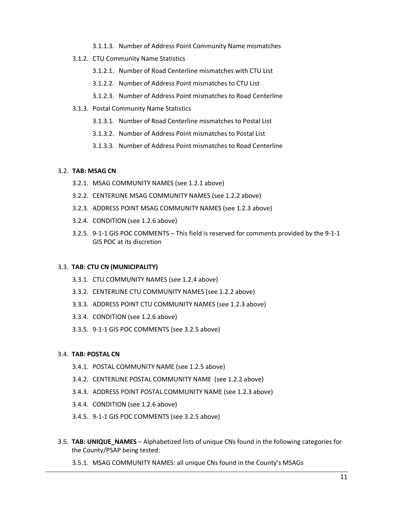- 3.1.1.3. Number of Address Point Community Name mismatches
- 3.1.2. CTU Community Name Statistics
	- 3.1.2.1. Number of Road Centerline mismatches with CTU List
	- 3.1.2.2. Number of Address Point mismatches to CTU List
	- 3.1.2.3. Number of Address Point mismatches to Road Centerline
- 3.1.3. Postal Community Name Statistics
	- 3.1.3.1. Number of Road Centerline mismatches to Postal List
	- 3.1.3.2. Number of Address Point mismatches to Postal List
	- 3.1.3.3. Number of Address Point mismatches to Road Centerline

#### 3.2. **TAB: MSAG CN**

- 3.2.1. MSAG COMMUNITY NAMES (see 1.2.1 above)
- 3.2.2. CENTERLINE MSAG COMMUNITY NAMES (see 1.2.2 above)
- 3.2.3. ADDRESS POINT MSAG COMMUNITY NAMES (see 1.2.3 above)
- 3.2.4. CONDITION (see 1.2.6 above)
- 3.2.5. 9-1-1 GIS POC COMMENTS This field is reserved for comments provided by the 9-1-1 GIS POC at its discretion

#### 3.3. **TAB: CTU CN (MUNICIPALITY)**

- 3.3.1. CTU COMMUNITY NAMES (see 1.2.4 above)
- 3.3.2. CENTERLINE CTU COMMUNITY NAMES (see 1.2.2 above)
- 3.3.3. ADDRESS POINT CTU COMMUNITY NAMES (see 1.2.3 above)
- 3.3.4. CONDITION (see 1.2.6 above)
- 3.3.5. 9-1-1 GIS POC COMMENTS (see 3.2.5 above)

#### 3.4. **TAB: POSTAL CN**

- 3.4.1. POSTAL COMMUNITY NAME (see 1.2.5 above)
- 3.4.2. CENTERLINE POSTAL COMMUNITY NAME (see 1.2.2 above)
- 3.4.3. ADDRESS POINT POSTAL COMMUNITY NAME (see 1.2.3 above)
- 3.4.4. CONDITION (see 1.2.6 above)
- 3.4.5. 9-1-1 GIS POC COMMENTS (see 3.2.5 above)
- 3.5. **TAB: UNIQUE\_NAMES** Alphabetized lists of unique CNs found in the following categories for the County/PSAP being tested:
	- 3.5.1. MSAG COMMUNITY NAMES: all unique CNs found in the County's MSAGs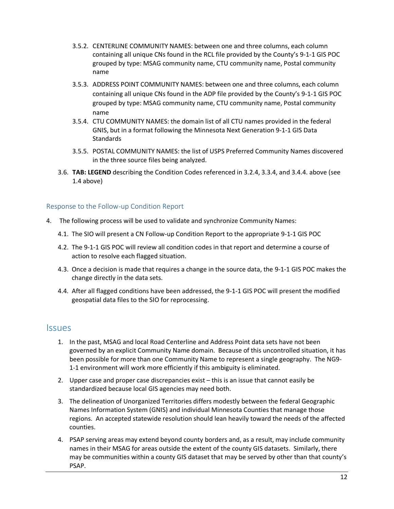- 3.5.2. CENTERLINE COMMUNITY NAMES: between one and three columns, each column containing all unique CNs found in the RCL file provided by the County's 9-1-1 GIS POC grouped by type: MSAG community name, CTU community name, Postal community name
- 3.5.3. ADDRESS POINT COMMUNITY NAMES: between one and three columns, each column containing all unique CNs found in the ADP file provided by the County's 9-1-1 GIS POC grouped by type: MSAG community name, CTU community name, Postal community name
- 3.5.4. CTU COMMUNITY NAMES: the domain list of all CTU names provided in the federal GNIS, but in a format following the Minnesota Next Generation 9-1-1 GIS Data Standards
- 3.5.5. POSTAL COMMUNITY NAMES: the list of USPS Preferred Community Names discovered in the three source files being analyzed.
- 3.6. **TAB: LEGEND** describing the Condition Codes referenced in 3.2.4, 3.3.4, and 3.4.4. above (see 1.4 above)

#### Response to the Follow-up Condition Report

- 4. The following process will be used to validate and synchronize Community Names:
	- 4.1. The SIO will present a CN Follow-up Condition Report to the appropriate 9-1-1 GIS POC
	- 4.2. The 9-1-1 GIS POC will review all condition codes in that report and determine a course of action to resolve each flagged situation.
	- 4.3. Once a decision is made that requires a change in the source data, the 9-1-1 GIS POC makes the change directly in the data sets.
	- 4.4. After all flagged conditions have been addressed, the 9-1-1 GIS POC will present the modified geospatial data files to the SIO for reprocessing.

#### **Issues**

- 1. In the past, MSAG and local Road Centerline and Address Point data sets have not been governed by an explicit Community Name domain. Because of this uncontrolled situation, it has been possible for more than one Community Name to represent a single geography. The NG9- 1-1 environment will work more efficiently if this ambiguity is eliminated.
- 2. Upper case and proper case discrepancies exist this is an issue that cannot easily be standardized because local GIS agencies may need both.
- 3. The delineation of Unorganized Territories differs modestly between the federal Geographic Names Information System (GNIS) and individual Minnesota Counties that manage those regions. An accepted statewide resolution should lean heavily toward the needs of the affected counties.
- 4. PSAP serving areas may extend beyond county borders and, as a result, may include community names in their MSAG for areas outside the extent of the county GIS datasets. Similarly, there may be communities within a county GIS dataset that may be served by other than that county's PSAP.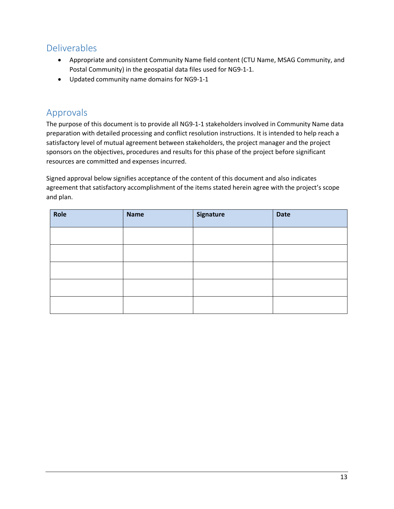# Deliverables

- Appropriate and consistent Community Name field content (CTU Name, MSAG Community, and Postal Community) in the geospatial data files used for NG9-1-1.
- Updated community name domains for NG9-1-1

# Approvals

The purpose of this document is to provide all NG9-1-1 stakeholders involved in Community Name data preparation with detailed processing and conflict resolution instructions. It is intended to help reach a satisfactory level of mutual agreement between stakeholders, the project manager and the project sponsors on the objectives, procedures and results for this phase of the project before significant resources are committed and expenses incurred.

Signed approval below signifies acceptance of the content of this document and also indicates agreement that satisfactory accomplishment of the items stated herein agree with the project's scope and plan.

| Role | <b>Name</b> | <b>Signature</b> | <b>Date</b> |
|------|-------------|------------------|-------------|
|      |             |                  |             |
|      |             |                  |             |
|      |             |                  |             |
|      |             |                  |             |
|      |             |                  |             |